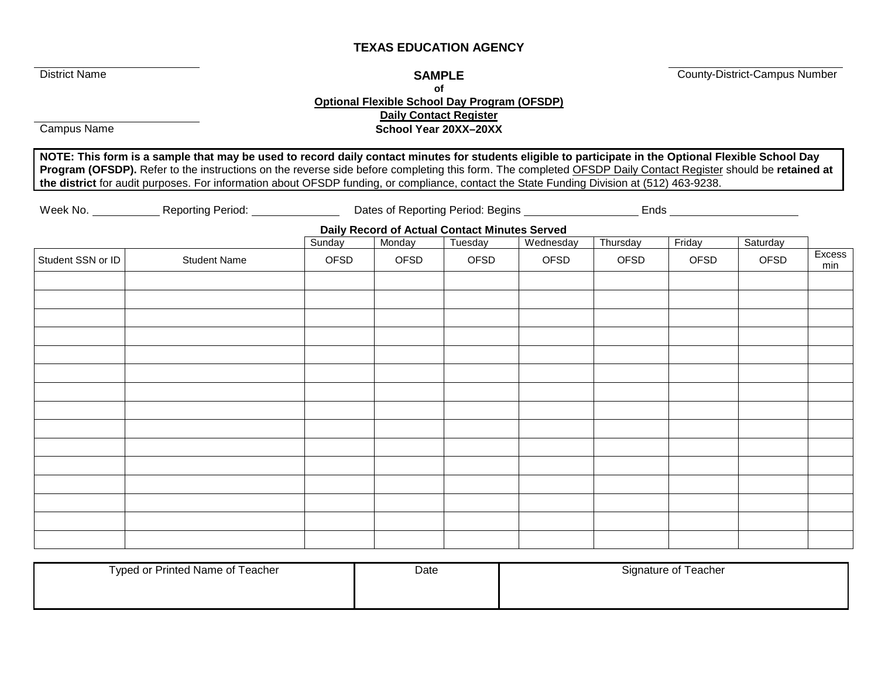# **TEXAS EDUCATION AGENCY**

**District Name** County-District-Campus Number

#### **of Optional Flexible School Day Program (OFSDP) Daily Contact Register**

**Campus Name Campus Name School Year 20XX–20XX** 

**NOTE: This form is a sample that may be used to record daily contact minutes for students eligible to participate in the Optional Flexible School Day Program (OFSDP).** Refer to the instructions on the reverse side before completing this form. The completed OFSDP Daily Contact Register should be **retained at the district** for audit purposes. For information about OFSDP funding, or compliance, contact the State Funding Division at (512) 463-9238.

Week No. \_\_\_\_\_\_\_\_\_\_\_\_Reporting Period: \_\_\_\_\_\_\_\_\_\_\_\_\_\_\_\_Dates of Reporting Period: Begins \_\_\_\_\_\_\_\_\_\_\_\_\_\_\_\_\_\_\_\_\_\_\_\_\_\_\_

**Daily Record of Actual Contact Minutes Served**

|                     | Sunday | Monday | Tuesday | Wednesday | Thursday | Friday | Saturday |               |
|---------------------|--------|--------|---------|-----------|----------|--------|----------|---------------|
| <b>Student Name</b> | OFSD   | OFSD   | OFSD    | OFSD      | OFSD     | OFSD   | OFSD     | Excess<br>min |
|                     |        |        |         |           |          |        |          |               |
|                     |        |        |         |           |          |        |          |               |
|                     |        |        |         |           |          |        |          |               |
|                     |        |        |         |           |          |        |          |               |
|                     |        |        |         |           |          |        |          |               |
|                     |        |        |         |           |          |        |          |               |
|                     |        |        |         |           |          |        |          |               |
|                     |        |        |         |           |          |        |          |               |
|                     |        |        |         |           |          |        |          |               |
|                     |        |        |         |           |          |        |          |               |
|                     |        |        |         |           |          |        |          |               |
|                     |        |        |         |           |          |        |          |               |
|                     |        |        |         |           |          |        |          |               |
|                     |        |        |         |           |          |        |          |               |
|                     |        |        |         |           |          |        |          |               |
|                     |        |        |         |           |          |        |          |               |
|                     |        |        |         |           |          |        |          |               |

| Typed or Printed Name of Teacher | Date | Signature of Teacher |  |  |  |  |  |
|----------------------------------|------|----------------------|--|--|--|--|--|
|                                  |      |                      |  |  |  |  |  |
|                                  |      |                      |  |  |  |  |  |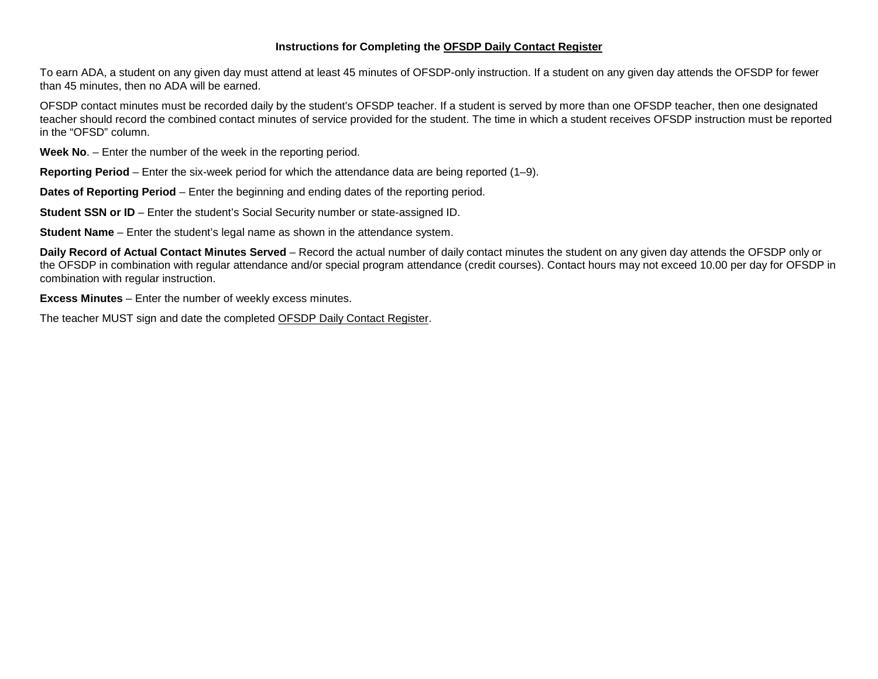#### **Instructions for Completing the OFSDP Daily Contact Register**

To earn ADA, a student on any given day must attend at least 45 minutes of OFSDP-only instruction. If a student on any given day attends the OFSDP for fewer than 45 minutes, then no ADA will be earned.

OFSDP contact minutes must be recorded daily by the student's OFSDP teacher. If a student is served by more than one OFSDP teacher, then one designated teacher should record the combined contact minutes of service provided for the student. The time in which a student receives OFSDP instruction must be reported in the "OFSD" column.

**Week No**. – Enter the number of the week in the reporting period.

**Reporting Period** – Enter the six-week period for which the attendance data are being reported (1–9).

**Dates of Reporting Period** – Enter the beginning and ending dates of the reporting period.

**Student SSN or ID** – Enter the student's Social Security number or state-assigned ID.

**Student Name** – Enter the student's legal name as shown in the attendance system.

**Daily Record of Actual Contact Minutes Served** – Record the actual number of daily contact minutes the student on any given day attends the OFSDP only or the OFSDP in combination with regular attendance and/or special program attendance (credit courses). Contact hours may not exceed 10.00 per day for OFSDP in combination with regular instruction.

**Excess Minutes** – Enter the number of weekly excess minutes.

The teacher MUST sign and date the completed OFSDP Daily Contact Register.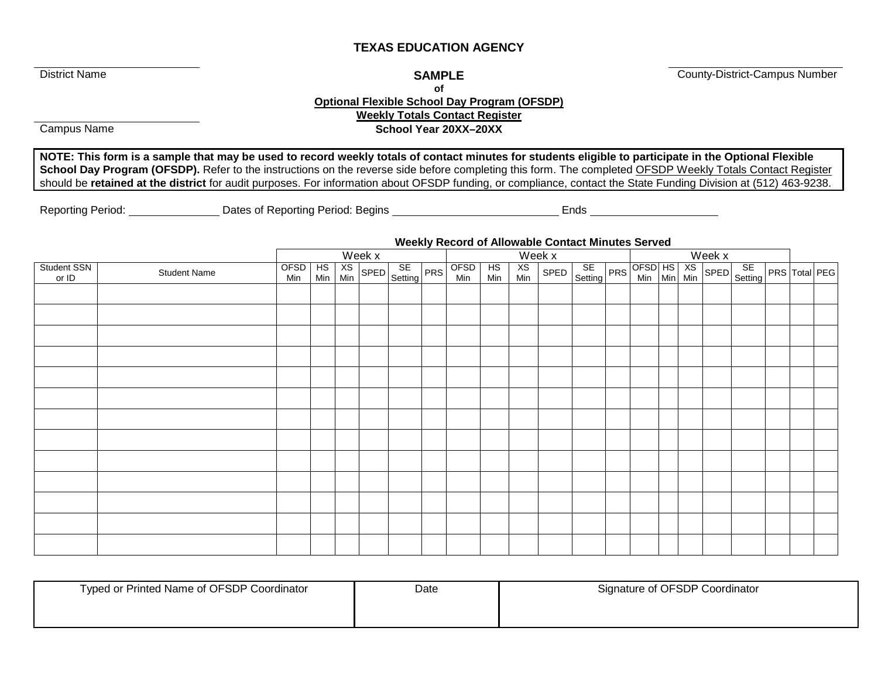# **TEXAS EDUCATION AGENCY**

**of**

**District Name** County-District-Campus Number

# **Optional Flexible School Day Program (OFSDP) Weekly Totals Contact Register**

**Campus Name Campus Name School Year 20XX–20XX** 

**NOTE: This form is a sample that may be used to record weekly totals of contact minutes for students eligible to participate in the Optional Flexible School Day Program (OFSDP).** Refer to the instructions on the reverse side before completing this form. The completed OFSDP Weekly Totals Contact Register should be **retained at the district** for audit purposes. For information about OFSDP funding, or compliance, contact the State Funding Division at (512) 463-9238.

Reporting Period: Case Controllery Dates of Reporting Period: Begins Ends Ends

### **Weekly Record of Allowable Contact Minutes Served**

|                      |                     | <u>1100mly 110001 at 7 alongsio Colliabi immatoo Collica</u><br>Week x<br>$\overline{W}$ eek x<br>Week x |                  |  |  |             |  |             |           |           |                                        |  |  |  |  |  |                      |
|----------------------|---------------------|----------------------------------------------------------------------------------------------------------|------------------|--|--|-------------|--|-------------|-----------|-----------|----------------------------------------|--|--|--|--|--|----------------------|
| Student SSN<br>or ID | <b>Student Name</b> | OFSD<br>Min                                                                                              | HS XS<br>Min Min |  |  | SPED SE PRS |  | OFSD<br>Min | HS<br>Min | XS<br>Min | SPED SE PRS OFSD HS XS SPED SE Setting |  |  |  |  |  | <b>PRS</b> Total PEG |
|                      |                     |                                                                                                          |                  |  |  |             |  |             |           |           |                                        |  |  |  |  |  |                      |
|                      |                     |                                                                                                          |                  |  |  |             |  |             |           |           |                                        |  |  |  |  |  |                      |
|                      |                     |                                                                                                          |                  |  |  |             |  |             |           |           |                                        |  |  |  |  |  |                      |
|                      |                     |                                                                                                          |                  |  |  |             |  |             |           |           |                                        |  |  |  |  |  |                      |
|                      |                     |                                                                                                          |                  |  |  |             |  |             |           |           |                                        |  |  |  |  |  |                      |
|                      |                     |                                                                                                          |                  |  |  |             |  |             |           |           |                                        |  |  |  |  |  |                      |
|                      |                     |                                                                                                          |                  |  |  |             |  |             |           |           |                                        |  |  |  |  |  |                      |
|                      |                     |                                                                                                          |                  |  |  |             |  |             |           |           |                                        |  |  |  |  |  |                      |
|                      |                     |                                                                                                          |                  |  |  |             |  |             |           |           |                                        |  |  |  |  |  |                      |
|                      |                     |                                                                                                          |                  |  |  |             |  |             |           |           |                                        |  |  |  |  |  |                      |
|                      |                     |                                                                                                          |                  |  |  |             |  |             |           |           |                                        |  |  |  |  |  |                      |
|                      |                     |                                                                                                          |                  |  |  |             |  |             |           |           |                                        |  |  |  |  |  |                      |
|                      |                     |                                                                                                          |                  |  |  |             |  |             |           |           |                                        |  |  |  |  |  |                      |

| Typed or Printed Name of OFSDP Coordinator | Date | Signature of OFSDP Coordinator |  |  |  |  |
|--------------------------------------------|------|--------------------------------|--|--|--|--|
|                                            |      |                                |  |  |  |  |
|                                            |      |                                |  |  |  |  |